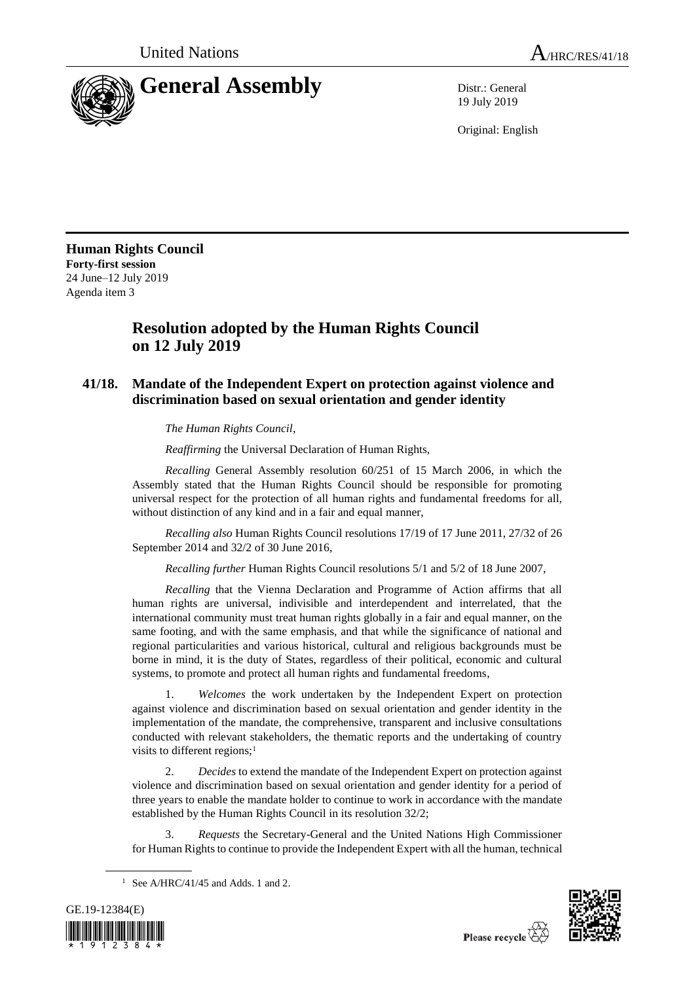

19 July 2019

Original: English

**Human Rights Council Forty-first session** 24 June–12 July 2019 Agenda item 3

## **Resolution adopted by the Human Rights Council on 12 July 2019**

## **41/18. Mandate of the Independent Expert on protection against violence and discrimination based on sexual orientation and gender identity**

*The Human Rights Council*,

*Reaffirming* the Universal Declaration of Human Rights,

*Recalling* General Assembly resolution 60/251 of 15 March 2006, in which the Assembly stated that the Human Rights Council should be responsible for promoting universal respect for the protection of all human rights and fundamental freedoms for all, without distinction of any kind and in a fair and equal manner,

*Recalling also* Human Rights Council resolutions 17/19 of 17 June 2011, 27/32 of 26 September 2014 and 32/2 of 30 June 2016,

*Recalling further* Human Rights Council resolutions 5/1 and 5/2 of 18 June 2007,

*Recalling* that the Vienna Declaration and Programme of Action affirms that all human rights are universal, indivisible and interdependent and interrelated, that the international community must treat human rights globally in a fair and equal manner, on the same footing, and with the same emphasis, and that while the significance of national and regional particularities and various historical, cultural and religious backgrounds must be borne in mind, it is the duty of States, regardless of their political, economic and cultural systems, to promote and protect all human rights and fundamental freedoms,

1. *Welcomes* the work undertaken by the Independent Expert on protection against violence and discrimination based on sexual orientation and gender identity in the implementation of the mandate, the comprehensive, transparent and inclusive consultations conducted with relevant stakeholders, the thematic reports and the undertaking of country visits to different regions;<sup>1</sup>

2. *Decides* to extend the mandate of the Independent Expert on protection against violence and discrimination based on sexual orientation and gender identity for a period of three years to enable the mandate holder to continue to work in accordance with the mandate established by the Human Rights Council in its resolution 32/2;

3. *Requests* the Secretary-General and the United Nations High Commissioner for Human Rights to continue to provide the Independent Expert with all the human, technical

<sup>&</sup>lt;sup>1</sup> See A/HRC/41/45 and Adds. 1 and 2.